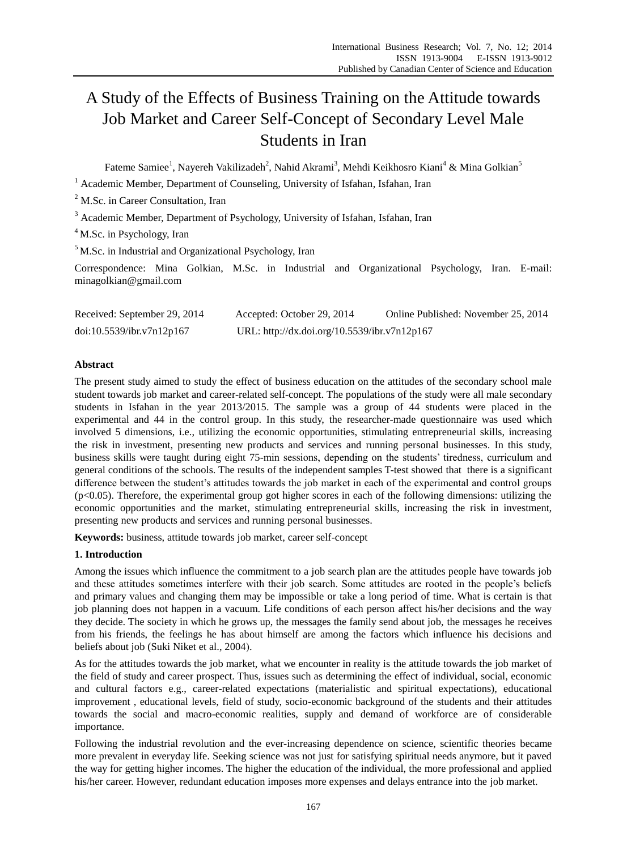# A Study of the Effects of Business Training on the Attitude towards Job Market and Career Self-Concept of Secondary Level Male Students in Iran

Fateme Samiee<sup>1</sup>, Nayereh Vakilizadeh<sup>2</sup>, Nahid Akrami<sup>3</sup>, Mehdi Keikhosro Kiani<sup>4</sup> & Mina Golkian<sup>5</sup>

- <sup>1</sup> Academic Member, Department of Counseling, University of Isfahan, Isfahan, Iran
- <sup>2</sup> M.Sc. in Career Consultation, Iran
- <sup>3</sup> Academic Member, Department of Psychology, University of Isfahan, Isfahan, Iran

 $4$  M.Sc. in Psychology, Iran

<sup>5</sup> M.Sc. in Industrial and Organizational Psychology, Iran

Correspondence: Mina Golkian, M.Sc. in Industrial and Organizational Psychology, Iran. E-mail: minagolkian@gmail.com

| Received: September 29, 2014 | Accepted: October 29, 2014                   | Online Published: November 25, 2014 |
|------------------------------|----------------------------------------------|-------------------------------------|
| doi:10.5539/ibr.v7n12p167    | URL: http://dx.doi.org/10.5539/ibr.v7n12p167 |                                     |

## **Abstract**

The present study aimed to study the effect of business education on the attitudes of the secondary school male student towards job market and career-related self-concept. The populations of the study were all male secondary students in Isfahan in the year 2013/2015. The sample was a group of 44 students were placed in the experimental and 44 in the control group. In this study, the researcher-made questionnaire was used which involved 5 dimensions, i.e., utilizing the economic opportunities, stimulating entrepreneurial skills, increasing the risk in investment, presenting new products and services and running personal businesses. In this study, business skills were taught during eight 75-min sessions, depending on the students' tiredness, curriculum and general conditions of the schools. The results of the independent samples T-test showed that there is a significant difference between the student's attitudes towards the job market in each of the experimental and control groups  $(p<0.05)$ . Therefore, the experimental group got higher scores in each of the following dimensions: utilizing the economic opportunities and the market, stimulating entrepreneurial skills, increasing the risk in investment, presenting new products and services and running personal businesses.

**Keywords:** business, attitude towards job market, career self-concept

#### **1. Introduction**

Among the issues which influence the commitment to a job search plan are the attitudes people have towards job and these attitudes sometimes interfere with their job search. Some attitudes are rooted in the people's beliefs and primary values and changing them may be impossible or take a long period of time. What is certain is that job planning does not happen in a vacuum. Life conditions of each person affect his/her decisions and the way they decide. The society in which he grows up, the messages the family send about job, the messages he receives from his friends, the feelings he has about himself are among the factors which influence his decisions and beliefs about job (Suki Niket et al., 2004).

As for the attitudes towards the job market, what we encounter in reality is the attitude towards the job market of the field of study and career prospect. Thus, issues such as determining the effect of individual, social, economic and cultural factors e.g., career-related expectations (materialistic and spiritual expectations), educational improvement , educational levels, field of study, socio-economic background of the students and their attitudes towards the social and macro-economic realities, supply and demand of workforce are of considerable importance.

Following the industrial revolution and the ever-increasing dependence on science, scientific theories became more prevalent in everyday life. Seeking science was not just for satisfying spiritual needs anymore, but it paved the way for getting higher incomes. The higher the education of the individual, the more professional and applied his/her career. However, redundant education imposes more expenses and delays entrance into the job market.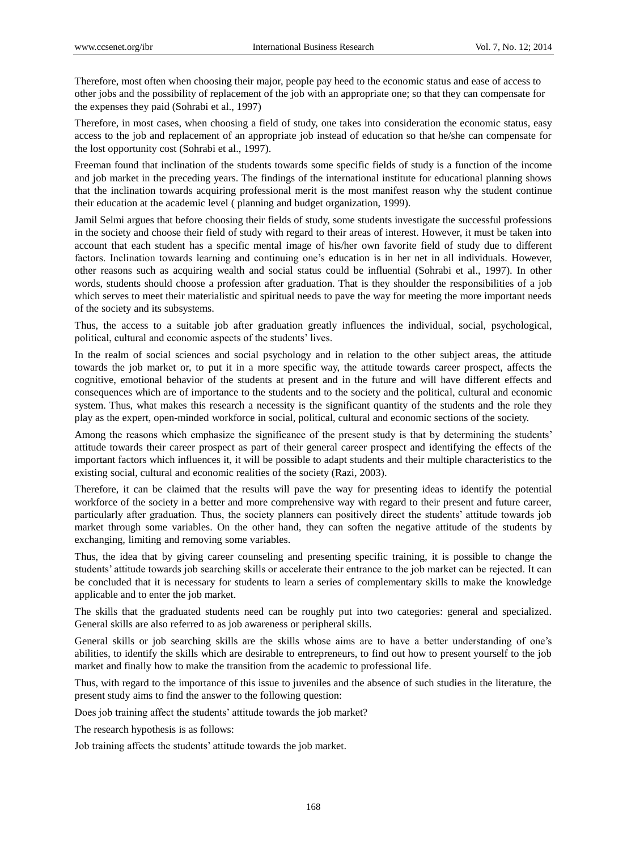Therefore, most often when choosing their major, people pay heed to the economic status and ease of access to other jobs and the possibility of replacement of the job with an appropriate one; so that they can compensate for the expenses they paid (Sohrabi et al., 1997)

Therefore, in most cases, when choosing a field of study, one takes into consideration the economic status, easy access to the job and replacement of an appropriate job instead of education so that he/she can compensate for the lost opportunity cost (Sohrabi et al., 1997).

Freeman found that inclination of the students towards some specific fields of study is a function of the income and job market in the preceding years. The findings of the international institute for educational planning shows that the inclination towards acquiring professional merit is the most manifest reason why the student continue their education at the academic level ( planning and budget organization, 1999).

Jamil Selmi argues that before choosing their fields of study, some students investigate the successful professions in the society and choose their field of study with regard to their areas of interest. However, it must be taken into account that each student has a specific mental image of his/her own favorite field of study due to different factors. Inclination towards learning and continuing one's education is in her net in all individuals. However, other reasons such as acquiring wealth and social status could be influential (Sohrabi et al., 1997). In other words, students should choose a profession after graduation. That is they shoulder the responsibilities of a job which serves to meet their materialistic and spiritual needs to pave the way for meeting the more important needs of the society and its subsystems.

Thus, the access to a suitable job after graduation greatly influences the individual, social, psychological, political, cultural and economic aspects of the students' lives.

In the realm of social sciences and social psychology and in relation to the other subject areas, the attitude towards the job market or, to put it in a more specific way, the attitude towards career prospect, affects the cognitive, emotional behavior of the students at present and in the future and will have different effects and consequences which are of importance to the students and to the society and the political, cultural and economic system. Thus, what makes this research a necessity is the significant quantity of the students and the role they play as the expert, open-minded workforce in social, political, cultural and economic sections of the society.

Among the reasons which emphasize the significance of the present study is that by determining the students' attitude towards their career prospect as part of their general career prospect and identifying the effects of the important factors which influences it, it will be possible to adapt students and their multiple characteristics to the existing social, cultural and economic realities of the society (Razi, 2003).

Therefore, it can be claimed that the results will pave the way for presenting ideas to identify the potential workforce of the society in a better and more comprehensive way with regard to their present and future career, particularly after graduation. Thus, the society planners can positively direct the students' attitude towards job market through some variables. On the other hand, they can soften the negative attitude of the students by exchanging, limiting and removing some variables.

Thus, the idea that by giving career counseling and presenting specific training, it is possible to change the students' attitude towards job searching skills or accelerate their entrance to the job market can be rejected. It can be concluded that it is necessary for students to learn a series of complementary skills to make the knowledge applicable and to enter the job market.

The skills that the graduated students need can be roughly put into two categories: general and specialized. General skills are also referred to as job awareness or peripheral skills.

General skills or job searching skills are the skills whose aims are to have a better understanding of one's abilities, to identify the skills which are desirable to entrepreneurs, to find out how to present yourself to the job market and finally how to make the transition from the academic to professional life.

Thus, with regard to the importance of this issue to juveniles and the absence of such studies in the literature, the present study aims to find the answer to the following question:

Does job training affect the students' attitude towards the job market?

The research hypothesis is as follows:

Job training affects the students' attitude towards the job market.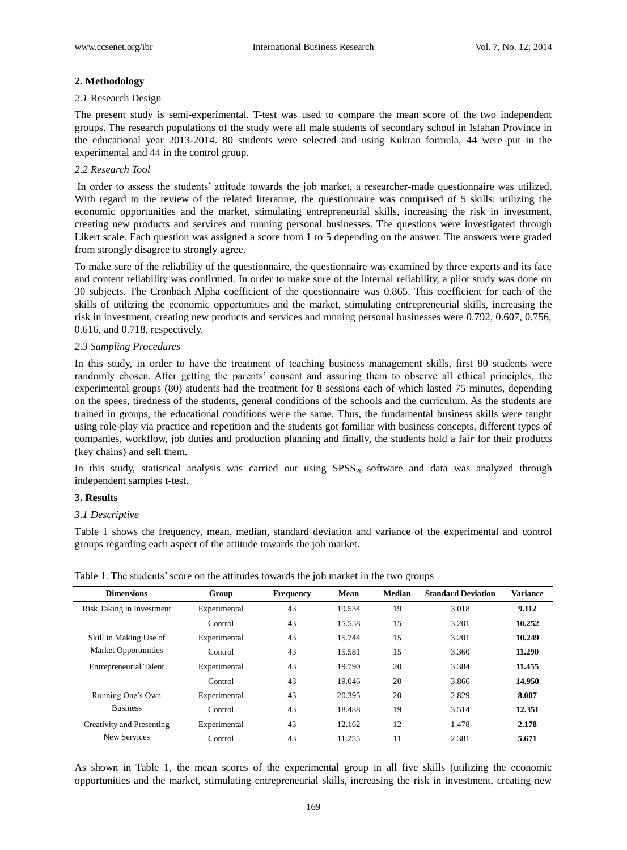## **2. Methodology**

### *2.1* Research Design

The present study is semi-experimental. T-test was used to compare the mean score of the two independent groups. The research populations of the study were all male students of secondary school in Isfahan Province in the educational year 2013-2014. 80 students were selected and using Kukran formula, 44 were put in the experimental and 44 in the control group.

# *2.2 Research Tool*

In order to assess the students' attitude towards the job market, a researcher-made questionnaire was utilized. With regard to the review of the related literature, the questionnaire was comprised of 5 skills: utilizing the economic opportunities and the market, stimulating entrepreneurial skills, increasing the risk in investment, creating new products and services and running personal businesses. The questions were investigated through Likert scale. Each question was assigned a score from 1 to 5 depending on the answer. The answers were graded from strongly disagree to strongly agree.

To make sure of the reliability of the questionnaire, the questionnaire was examined by three experts and its face and content reliability was confirmed. In order to make sure of the internal reliability, a pilot study was done on 30 subjects. The Cronbach Alpha coefficient of the questionnaire was 0.865. This coefficient for each of the skills of utilizing the economic opportunities and the market, stimulating entrepreneurial skills, increasing the risk in investment, creating new products and services and running personal businesses were 0.792, 0.607, 0.756, 0.616, and 0.718, respectively.

# *2.3 Sampling Procedures*

In this study, in order to have the treatment of teaching business management skills, first 80 students were randomly chosen. After getting the parents' consent and assuring them to observe all ethical principles, the experimental groups (80) students had the treatment for 8 sessions each of which lasted 75 minutes, depending on the spees, tiredness of the students, general conditions of the schools and the curriculum. As the students are trained in groups, the educational conditions were the same. Thus, the fundamental business skills were taught using role-play via practice and repetition and the students got familiar with business concepts, different types of companies, workflow, job duties and production planning and finally, the students hold a fai*r* for their products (key chains) and sell them.

In this study, statistical analysis was carried out using  $SPSS<sub>20</sub>$  software and data was analyzed through independent samples t-test.

#### **3. Results**

#### *3.1 Descriptive*

Table 1 shows the frequency, mean, median, standard deviation and variance of the experimental and control groups regarding each aspect of the attitude towards the job market.

| <b>Dimensions</b>                | Group        | <b>Frequency</b> | Mean   | <b>Median</b> | <b>Standard Deviation</b> | <b>Variance</b> |
|----------------------------------|--------------|------------------|--------|---------------|---------------------------|-----------------|
| Risk Taking in Investment        | Experimental | 43               | 19.534 | 19            | 3.018                     | 9.112           |
|                                  | Control      | 43               | 15.558 | 15            | 3.201                     | 10.252          |
| Skill in Making Use of           | Experimental | 43               | 15.744 | 15            | 3.201                     | 10.249          |
| <b>Market Opportunities</b>      | Control      | 43               | 15.581 | 15            | 3.360                     | 11.290          |
| <b>Entrepreneurial Talent</b>    | Experimental | 43               | 19.790 | 20            | 3.384                     | 11.455          |
|                                  | Control      | 43               | 19.046 | 20            | 3.866                     | 14.950          |
| Running One's Own                | Experimental | 43               | 20.395 | 20            | 2.829                     | 8.007           |
| <b>Business</b>                  | Control      | 43               | 18.488 | 19            | 3.514                     | 12.351          |
| <b>Creativity and Presenting</b> | Experimental | 43               | 12.162 | 12            | 1.478                     | 2.178           |
| <b>New Services</b>              | Control      | 43               | 11.255 | 11            | 2.381                     | 5.671           |

Table 1. The students' score on the attitudes towards the job market in the two groups

As shown in Table 1, the mean scores of the experimental group in all five skills (utilizing the economic opportunities and the market, stimulating entrepreneurial skills, increasing the risk in investment, creating new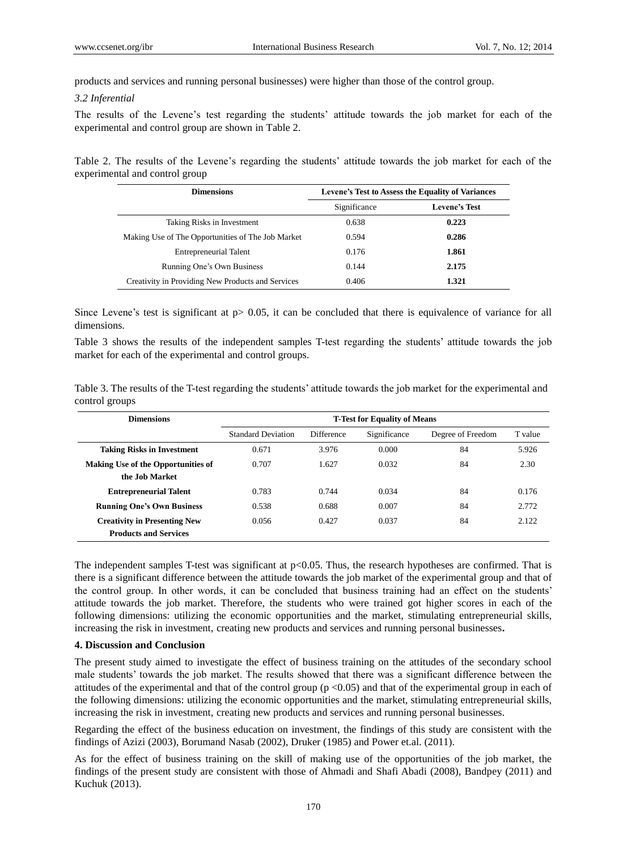products and services and running personal businesses) were higher than those of the control group.

# *3.2 Inferential*

The results of the Levene's test regarding the students' attitude towards the job market for each of the experimental and control group are shown in Table 2.

Table 2. The results of the Levene's regarding the students' attitude towards the job market for each of the experimental and control group

| <b>Dimensions</b>                                 | <b>Levene's Test to Assess the Equality of Variances</b> |                      |  |
|---------------------------------------------------|----------------------------------------------------------|----------------------|--|
|                                                   | Significance                                             | <b>Levene's Test</b> |  |
| Taking Risks in Investment                        | 0.638                                                    | 0.223                |  |
| Making Use of The Opportunities of The Job Market | 0.594                                                    | 0.286                |  |
| <b>Entrepreneurial Talent</b>                     | 0.176                                                    | 1.861                |  |
| Running One's Own Business                        | 0.144                                                    | 2.175                |  |
| Creativity in Providing New Products and Services | 0.406                                                    | 1.321                |  |

Since Levene's test is significant at  $p > 0.05$ , it can be concluded that there is equivalence of variance for all dimensions.

Table 3 shows the results of the independent samples T-test regarding the students' attitude towards the job market for each of the experimental and control groups.

Table 3. The results of the T-test regarding the students' attitude towards the job market for the experimental and control groups

| <b>Dimensions</b>                         | <b>T-Test for Equality of Means</b> |                   |              |                   |         |
|-------------------------------------------|-------------------------------------|-------------------|--------------|-------------------|---------|
|                                           | <b>Standard Deviation</b>           | <b>Difference</b> | Significance | Degree of Freedom | T value |
| <b>Taking Risks in Investment</b>         | 0.671                               | 3.976             | 0.000        | 84                | 5.926   |
| <b>Making Use of the Opportunities of</b> | 0.707                               | 1.627             | 0.032        | 84                | 2.30    |
| the Job Market                            |                                     |                   |              |                   |         |
| <b>Entrepreneurial Talent</b>             | 0.783                               | 0.744             | 0.034        | 84                | 0.176   |
| <b>Running One's Own Business</b>         | 0.538                               | 0.688             | 0.007        | 84                | 2.772   |
| <b>Creativity in Presenting New</b>       | 0.056                               | 0.427             | 0.037        | 84                | 2.122   |
| <b>Products and Services</b>              |                                     |                   |              |                   |         |

The independent samples T-test was significant at p<0.05. Thus, the research hypotheses are confirmed. That is there is a significant difference between the attitude towards the job market of the experimental group and that of the control group. In other words, it can be concluded that business training had an effect on the students' attitude towards the job market. Therefore, the students who were trained got higher scores in each of the following dimensions: utilizing the economic opportunities and the market, stimulating entrepreneurial skills, increasing the risk in investment, creating new products and services and running personal businesses**.**

# **4. Discussion and Conclusion**

The present study aimed to investigate the effect of business training on the attitudes of the secondary school male students' towards the job market. The results showed that there was a significant difference between the attitudes of the experimental and that of the control group ( $p \le 0.05$ ) and that of the experimental group in each of the following dimensions: utilizing the economic opportunities and the market, stimulating entrepreneurial skills, increasing the risk in investment, creating new products and services and running personal businesses.

Regarding the effect of the business education on investment, the findings of this study are consistent with the findings of Azizi (2003), Borumand Nasab (2002), Druker (1985) and Power et.al. (2011).

As for the effect of business training on the skill of making use of the opportunities of the job market, the findings of the present study are consistent with those of Ahmadi and Shafi Abadi (2008), Bandpey (2011) and Kuchuk (2013).